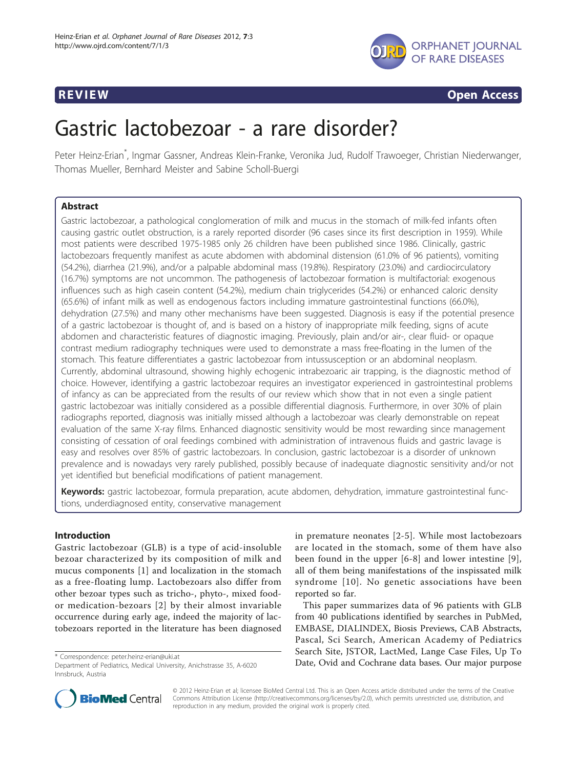

**REVIEW CONSIDERING CONSIDERING CONSIDERING CONSIDERING CONSIDERING CONSIDERING CONSIDERING CONSIDERING CONSIDERING CONSIDERING CONSIDERING CONSIDERING CONSIDERING CONSIDERING CONSIDERING CONSIDERING CONSIDERING CONSIDER** 

# Gastric lactobezoar - a rare disorder?

Peter Heinz-Erian\* , Ingmar Gassner, Andreas Klein-Franke, Veronika Jud, Rudolf Trawoeger, Christian Niederwanger, Thomas Mueller, Bernhard Meister and Sabine Scholl-Buergi

# Abstract

Gastric lactobezoar, a pathological conglomeration of milk and mucus in the stomach of milk-fed infants often causing gastric outlet obstruction, is a rarely reported disorder (96 cases since its first description in 1959). While most patients were described 1975-1985 only 26 children have been published since 1986. Clinically, gastric lactobezoars frequently manifest as acute abdomen with abdominal distension (61.0% of 96 patients), vomiting (54.2%), diarrhea (21.9%), and/or a palpable abdominal mass (19.8%). Respiratory (23.0%) and cardiocirculatory (16.7%) symptoms are not uncommon. The pathogenesis of lactobezoar formation is multifactorial: exogenous influences such as high casein content (54.2%), medium chain triglycerides (54.2%) or enhanced caloric density (65.6%) of infant milk as well as endogenous factors including immature gastrointestinal functions (66.0%), dehydration (27.5%) and many other mechanisms have been suggested. Diagnosis is easy if the potential presence of a gastric lactobezoar is thought of, and is based on a history of inappropriate milk feeding, signs of acute abdomen and characteristic features of diagnostic imaging. Previously, plain and/or air-, clear fluid- or opaque contrast medium radiography techniques were used to demonstrate a mass free-floating in the lumen of the stomach. This feature differentiates a gastric lactobezoar from intussusception or an abdominal neoplasm. Currently, abdominal ultrasound, showing highly echogenic intrabezoaric air trapping, is the diagnostic method of choice. However, identifying a gastric lactobezoar requires an investigator experienced in gastrointestinal problems of infancy as can be appreciated from the results of our review which show that in not even a single patient gastric lactobezoar was initially considered as a possible differential diagnosis. Furthermore, in over 30% of plain radiographs reported, diagnosis was initially missed although a lactobezoar was clearly demonstrable on repeat evaluation of the same X-ray films. Enhanced diagnostic sensitivity would be most rewarding since management consisting of cessation of oral feedings combined with administration of intravenous fluids and gastric lavage is easy and resolves over 85% of gastric lactobezoars. In conclusion, gastric lactobezoar is a disorder of unknown prevalence and is nowadays very rarely published, possibly because of inadequate diagnostic sensitivity and/or not yet identified but beneficial modifications of patient management.

Keywords: gastric lactobezoar, formula preparation, acute abdomen, dehydration, immature gastrointestinal functions, underdiagnosed entity, conservative management

# Introduction

Gastric lactobezoar (GLB) is a type of acid-insoluble bezoar characterized by its composition of milk and mucus components [[1\]](#page-6-0) and localization in the stomach as a free-floating lump. Lactobezoars also differ from other bezoar types such as tricho-, phyto-, mixed foodor medication-bezoars [[2\]](#page-6-0) by their almost invariable occurrence during early age, indeed the majority of lactobezoars reported in the literature has been diagnosed

in premature neonates [[2](#page-6-0)-[5\]](#page-6-0). While most lactobezoars are located in the stomach, some of them have also been found in the upper [\[6](#page-6-0)-[8](#page-6-0)] and lower intestine [[9](#page-6-0)], all of them being manifestations of the inspissated milk syndrome [[10\]](#page-6-0). No genetic associations have been reported so far.

This paper summarizes data of 96 patients with GLB from 40 publications identified by searches in PubMed, EMBASE, DIALINDEX, Biosis Previews, CAB Abstracts, Pascal, Sci Search, American Academy of Pediatrics Search Site, JSTOR, LactMed, Lange Case Files, Up To \* Correspondence: [peter.heinz-erian@uki.at](mailto:peter.heinz-erian@uki.at) bases. Our purpose \* Correspondence: peter.heinz-erian@uki.at \* Correspondence: peter.heinz-erian@uki.at \* Correspondence: peter.heinz-erian@uki.at \* Correspondence: Date, Ovid an



© 2012 Heinz-Erian et al; licensee BioMed Central Ltd. This is an Open Access article distributed under the terms of the Creative Commons Attribution License [\(http://creativecommons.org/licenses/by/2.0](http://creativecommons.org/licenses/by/2.0)), which permits unrestricted use, distribution, and reproduction in any medium, provided the original work is properly cited.

Department of Pediatrics, Medical University, Anichstrasse 35, A-6020 Innsbruck, Austria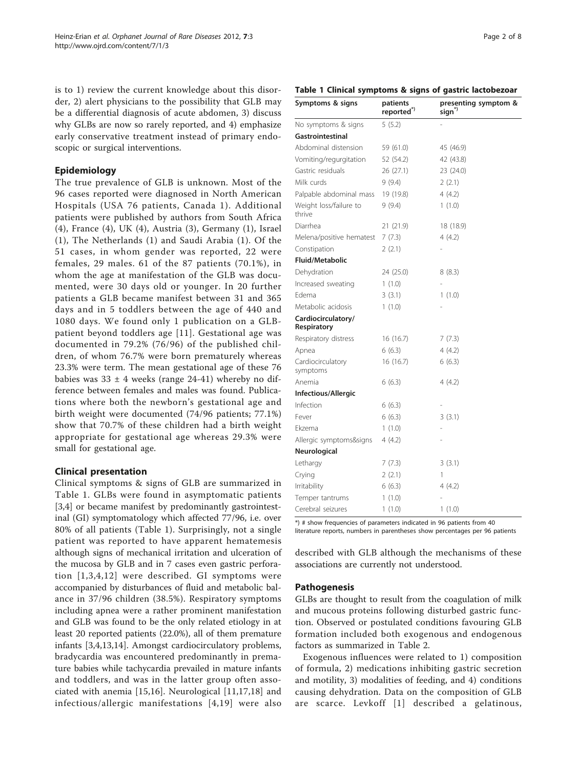is to 1) review the current knowledge about this disorder, 2) alert physicians to the possibility that GLB may be a differential diagnosis of acute abdomen, 3) discuss why GLBs are now so rarely reported, and 4) emphasize early conservative treatment instead of primary endoscopic or surgical interventions.

# Epidemiology

The true prevalence of GLB is unknown. Most of the 96 cases reported were diagnosed in North American Hospitals (USA 76 patients, Canada 1). Additional patients were published by authors from South Africa (4), France (4), UK (4), Austria (3), Germany (1), Israel (1), The Netherlands (1) and Saudi Arabia (1). Of the 51 cases, in whom gender was reported, 22 were females, 29 males. 61 of the 87 patients (70.1%), in whom the age at manifestation of the GLB was documented, were 30 days old or younger. In 20 further patients a GLB became manifest between 31 and 365 days and in 5 toddlers between the age of 440 and 1080 days. We found only 1 publication on a GLBpatient beyond toddlers age [[11](#page-6-0)]. Gestational age was documented in 79.2% (76/96) of the published children, of whom 76.7% were born prematurely whereas 23.3% were term. The mean gestational age of these 76 babies was  $33 \pm 4$  weeks (range 24-41) whereby no difference between females and males was found. Publications where both the newborn's gestational age and birth weight were documented (74/96 patients; 77.1%) show that 70.7% of these children had a birth weight appropriate for gestational age whereas 29.3% were small for gestational age.

# Clinical presentation

Clinical symptoms & signs of GLB are summarized in Table 1. GLBs were found in asymptomatic patients [[3,4\]](#page-6-0) or became manifest by predominantly gastrointestinal (GI) symptomatology which affected 77/96, i.e. over 80% of all patients (Table 1). Surprisingly, not a single patient was reported to have apparent hematemesis although signs of mechanical irritation and ulceration of the mucosa by GLB and in 7 cases even gastric perforation [[1,3,4,12](#page-6-0)] were described. GI symptoms were accompanied by disturbances of fluid and metabolic balance in 37/96 children (38.5%). Respiratory symptoms including apnea were a rather prominent manifestation and GLB was found to be the only related etiology in at least 20 reported patients (22.0%), all of them premature infants [\[3,4,13](#page-6-0),[14](#page-6-0)]. Amongst cardiocirculatory problems, bradycardia was encountered predominantly in premature babies while tachycardia prevailed in mature infants and toddlers, and was in the latter group often associated with anemia [[15,16](#page-6-0)]. Neurological [\[11,17](#page-6-0),[18\]](#page-6-0) and infectious/allergic manifestations [[4,19](#page-6-0)] were also

# Table 1 Clinical symptoms & signs of gastric lactobezoar

| Symptoms & signs                  | patients<br>reported <sup>*</sup> ) | presenting symptom &<br>sign <sup>*</sup> |
|-----------------------------------|-------------------------------------|-------------------------------------------|
| No symptoms & signs               | 5(5.2)                              |                                           |
| Gastrointestinal                  |                                     |                                           |
| Abdominal distension              | 59 (61.0)                           | 45 (46.9)                                 |
| Vomiting/regurgitation            | 52 (54.2)                           | 42 (43.8)                                 |
| Gastric residuals                 | 26 (27.1)                           | 23 (24.0)                                 |
| Milk curds                        | 9(9.4)                              | 2(2.1)                                    |
| Palpable abdominal mass           | 19 (19.8)                           | 4(4.2)                                    |
| Weight loss/failure to<br>thrive  | 9(9.4)                              | 1(1.0)                                    |
| Diarrhea                          | 21 (21.9)                           | 18 (18.9)                                 |
| Melena/positive hematest          | 7(7.3)                              | 4(4.2)                                    |
| Constipation                      | 2(2.1)                              |                                           |
| <b>Fluid/Metabolic</b>            |                                     |                                           |
| Dehydration                       | 24 (25.0)                           | 8(8.3)                                    |
| Increased sweating                | 1(1.0)                              |                                           |
| Edema                             | 3(3.1)                              | 1(1.0)                                    |
| Metabolic acidosis                | 1(1.0)                              |                                           |
| Cardiocirculatory/<br>Respiratory |                                     |                                           |
| Respiratory distress              | 16 (16.7)                           | 7(7.3)                                    |
| Apnea                             | 6(6.3)                              | 4(4.2)                                    |
| Cardiocirculatory<br>symptoms     | 16 (16.7)                           | 6(6.3)                                    |
| Anemia                            | 6(6.3)                              | 4(4.2)                                    |
| Infectious/Allergic               |                                     |                                           |
| Infection                         | 6(6.3)                              |                                           |
| Fever                             | 6(6.3)                              | 3(3.1)                                    |
| Ekzema                            | 1(1.0)                              |                                           |
| Allergic symptoms&signs           | 4 (4.2)                             |                                           |
| Neurological                      |                                     |                                           |
| Lethargy                          | 7(7.3)                              | 3(3.1)                                    |
| Crying                            | 2(2.1)                              | 1                                         |
| Irritability                      | 6(6.3)                              | 4(4.2)                                    |
| Temper tantrums                   | 1(1.0)                              |                                           |
| Cerebral seizures                 | 1(1.0)                              | 1(1.0)                                    |

\*) # show frequencies of parameters indicated in 96 patients from 40 literature reports, numbers in parentheses show percentages per 96 patients

described with GLB although the mechanisms of these associations are currently not understood.

# Pathogenesis

GLBs are thought to result from the coagulation of milk and mucous proteins following disturbed gastric function. Observed or postulated conditions favouring GLB formation included both exogenous and endogenous factors as summarized in Table [2.](#page-2-0)

Exogenous influences were related to 1) composition of formula, 2) medications inhibiting gastric secretion and motility, 3) modalities of feeding, and 4) conditions causing dehydration. Data on the composition of GLB are scarce. Levkoff [[1](#page-6-0)] described a gelatinous,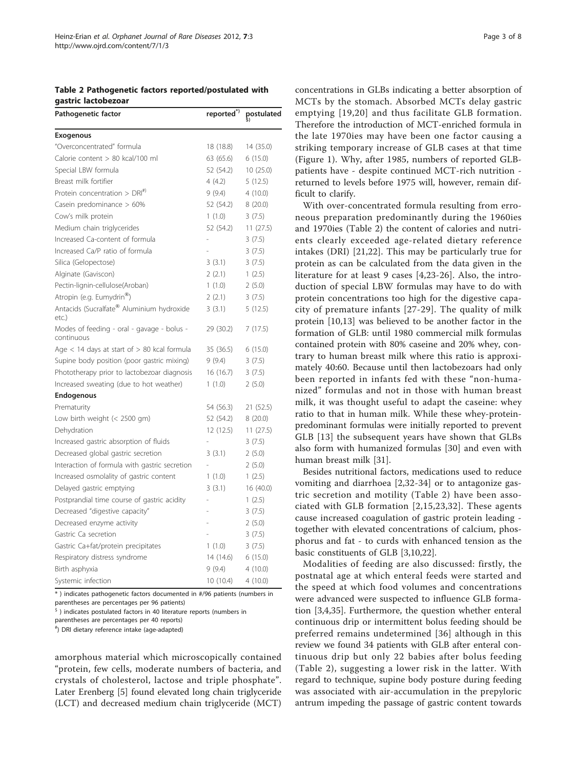<span id="page-2-0"></span>Table 2 Pathogenetic factors reported/postulated with gastric lactobezoar

| Pathogenetic factor                                      | reported <sup>*)</sup> | postulated |
|----------------------------------------------------------|------------------------|------------|
| Exogenous                                                |                        |            |
| "Overconcentrated" formula                               | 18 (18.8)              | 14 (35.0)  |
| Calorie content > 80 kcal/100 ml                         | 63 (65.6)              | 6(15.0)    |
| Special LBW formula                                      | 52 (54.2)              | 10(25.0)   |
| Breast milk fortifier                                    | 4(4.2)                 | 5(12.5)    |
| Protein concentration $>$ DRI <sup>#)</sup>              | 9(9.4)                 | 4(10.0)    |
| Casein predominance > 60%                                | 52 (54.2)              | 8(20.0)    |
| Cow's milk protein                                       | 1(1.0)                 | 3(7.5)     |
| Medium chain triglycerides                               | 52 (54.2)              | 11(27.5)   |
| Increased Ca-content of formula                          |                        | 3(7.5)     |
| Increased Ca/P ratio of formula                          |                        | 3(7.5)     |
| Silica (Gelopectose)                                     | 3(3.1)                 | 3(7.5)     |
| Alginate (Gaviscon)                                      | 2(2.1)                 | 1(2.5)     |
| Pectin-lignin-cellulose(Aroban)                          | 1(1.0)                 | 2(5.0)     |
| Atropin (e.g. Eumydrin®)                                 | 2(2.1)                 | 3(7.5)     |
| Antacids (Sucralfate® Aluminium hydroxide<br>etc.)       | 3(3.1)                 | 5(12.5)    |
| Modes of feeding - oral - gavage - bolus -<br>continuous | 29 (30.2)              | 7(17.5)    |
| Age $<$ 14 days at start of $> 80$ kcal formula          | 35 (36.5)              | 6(15.0)    |
| Supine body position (poor gastric mixing)               | 9(9.4)                 | 3(7.5)     |
| Phototherapy prior to lactobezoar diagnosis              | 16(16.7)               | 3(7.5)     |
| Increased sweating (due to hot weather)                  | 1(1.0)                 | 2(5.0)     |
| Endogenous                                               |                        |            |
| Prematurity                                              | 54 (56.3)              | 21 (52.5)  |
| Low birth weight $(< 2500$ gm)                           | 52 (54.2)              | 8(20.0)    |
| Dehydration                                              | 12(12.5)               | 11(27.5)   |
| Increased gastric absorption of fluids                   |                        | 3(7.5)     |
| Decreased global gastric secretion                       | 3(3.1)                 | 2(5.0)     |
| Interaction of formula with gastric secretion            |                        | 2(5.0)     |
| Increased osmolality of gastric content                  | 1(1.0)                 | 1(2.5)     |
| Delayed gastric emptying                                 | 3(3.1)                 | 16 (40.0)  |
| Postprandial time course of gastric acidity              |                        | 1(2.5)     |
| Decreased "digestive capacity"                           |                        | 3(7.5)     |
| Decreased enzyme activity                                |                        | 2(5.0)     |
| Gastric Ca secretion                                     |                        | 3(7.5)     |
| Gastric Ca+fat/protein precipitates                      | 1(1.0)                 | 3(7.5)     |
| Respiratory distress syndrome                            | 14 (14.6)              | 6(15.0)    |
| Birth asphyxia                                           | 9(9.4)                 | 4(10.0)    |
| Systemic infection                                       | 10(10.4)               | 4(10.0)    |

\* ) indicates pathogenetic factors documented in #/96 patients (numbers in parentheses are percentages per 96 patients)

 $5$ ) indicates postulated factors in 40 literature reports (numbers in

parentheses are percentages per 40 reports)

# ) DRI dietary reference intake (age-adapted)

amorphous material which microscopically contained "protein, few cells, moderate numbers of bacteria, and crystals of cholesterol, lactose and triple phosphate". Later Erenberg [\[5](#page-6-0)] found elevated long chain triglyceride (LCT) and decreased medium chain triglyceride (MCT) concentrations in GLBs indicating a better absorption of MCTs by the stomach. Absorbed MCTs delay gastric emptying [[19,20\]](#page-6-0) and thus facilitate GLB formation. Therefore the introduction of MCT-enriched formula in the late 1970ies may have been one factor causing a striking temporary increase of GLB cases at that time (Figure [1\)](#page-3-0). Why, after 1985, numbers of reported GLBpatients have - despite continued MCT-rich nutrition returned to levels before 1975 will, however, remain difficult to clarify.

With over-concentrated formula resulting from erroneous preparation predominantly during the 1960ies and 1970ies (Table 2) the content of calories and nutrients clearly exceeded age-related dietary reference intakes (DRI) [[21,22](#page-6-0)]. This may be particularly true for protein as can be calculated from the data given in the literature for at least 9 cases [[4,23](#page-6-0)-[26\]](#page-6-0). Also, the introduction of special LBW formulas may have to do with protein concentrations too high for the digestive capacity of premature infants [\[27-29\]](#page-6-0). The quality of milk protein [[10](#page-6-0),[13\]](#page-6-0) was believed to be another factor in the formation of GLB: until 1980 commercial milk formulas contained protein with 80% caseine and 20% whey, contrary to human breast milk where this ratio is approximately 40:60. Because until then lactobezoars had only been reported in infants fed with these "non-humanized" formulas and not in those with human breast milk, it was thought useful to adapt the caseine: whey ratio to that in human milk. While these whey-proteinpredominant formulas were initially reported to prevent GLB [[13](#page-6-0)] the subsequent years have shown that GLBs also form with humanized formulas [\[30](#page-6-0)] and even with human breast milk [[31](#page-6-0)].

Besides nutritional factors, medications used to reduce vomiting and diarrhoea [[2,32](#page-6-0)-[34\]](#page-6-0) or to antagonize gastric secretion and motility (Table 2) have been associated with GLB formation [[2](#page-6-0),[15](#page-6-0),[23,32\]](#page-6-0). These agents cause increased coagulation of gastric protein leading together with elevated concentrations of calcium, phosphorus and fat - to curds with enhanced tension as the basic constituents of GLB [[3,10,22\]](#page-6-0).

Modalities of feeding are also discussed: firstly, the postnatal age at which enteral feeds were started and the speed at which food volumes and concentrations were advanced were suspected to influence GLB formation [[3,4,35\]](#page-6-0). Furthermore, the question whether enteral continuous drip or intermittent bolus feeding should be preferred remains undetermined [[36\]](#page-6-0) although in this review we found 34 patients with GLB after enteral continuous drip but only 22 babies after bolus feeding (Table 2), suggesting a lower risk in the latter. With regard to technique, supine body posture during feeding was associated with air-accumulation in the prepyloric antrum impeding the passage of gastric content towards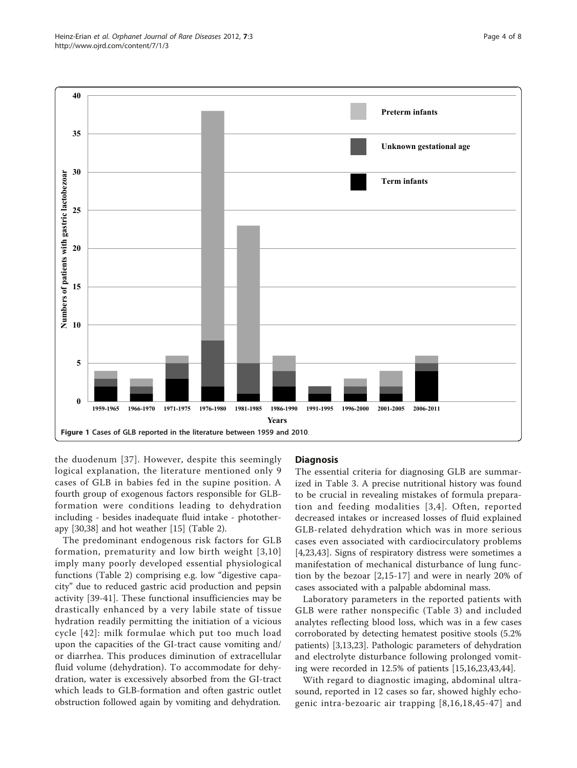<span id="page-3-0"></span>

the duodenum [[37\]](#page-6-0). However, despite this seemingly logical explanation, the literature mentioned only 9 cases of GLB in babies fed in the supine position. A fourth group of exogenous factors responsible for GLBformation were conditions leading to dehydration including - besides inadequate fluid intake - phototherapy [\[30,38\]](#page-6-0) and hot weather [[15](#page-6-0)] (Table [2\)](#page-2-0).

The predominant endogenous risk factors for GLB formation, prematurity and low birth weight [[3](#page-6-0),[10](#page-6-0)] imply many poorly developed essential physiological functions (Table [2\)](#page-2-0) comprising e.g. low "digestive capacity" due to reduced gastric acid production and pepsin activity [[39-41\]](#page-6-0). These functional insufficiencies may be drastically enhanced by a very labile state of tissue hydration readily permitting the initiation of a vicious cycle [[42](#page-6-0)]: milk formulae which put too much load upon the capacities of the GI-tract cause vomiting and/ or diarrhea. This produces diminution of extracellular fluid volume (dehydration). To accommodate for dehydration, water is excessively absorbed from the GI-tract which leads to GLB-formation and often gastric outlet obstruction followed again by vomiting and dehydration.

# **Diagnosis**

The essential criteria for diagnosing GLB are summarized in Table [3](#page-4-0). A precise nutritional history was found to be crucial in revealing mistakes of formula preparation and feeding modalities [[3,4\]](#page-6-0). Often, reported decreased intakes or increased losses of fluid explained GLB-related dehydration which was in more serious cases even associated with cardiocirculatory problems [[4,23,43](#page-6-0)]. Signs of respiratory distress were sometimes a manifestation of mechanical disturbance of lung function by the bezoar [\[2](#page-6-0),[15-17](#page-6-0)] and were in nearly 20% of cases associated with a palpable abdominal mass.

Laboratory parameters in the reported patients with GLB were rather nonspecific (Table [3](#page-4-0)) and included analytes reflecting blood loss, which was in a few cases corroborated by detecting hematest positive stools (5.2% patients) [\[3,13,23](#page-6-0)]. Pathologic parameters of dehydration and electrolyte disturbance following prolonged vomiting were recorded in 12.5% of patients [[15,16](#page-6-0),[23,43,44](#page-6-0)].

With regard to diagnostic imaging, abdominal ultrasound, reported in 12 cases so far, showed highly echogenic intra-bezoaric air trapping [[8](#page-6-0),[16](#page-6-0),[18](#page-6-0),[45](#page-6-0)-[47\]](#page-6-0) and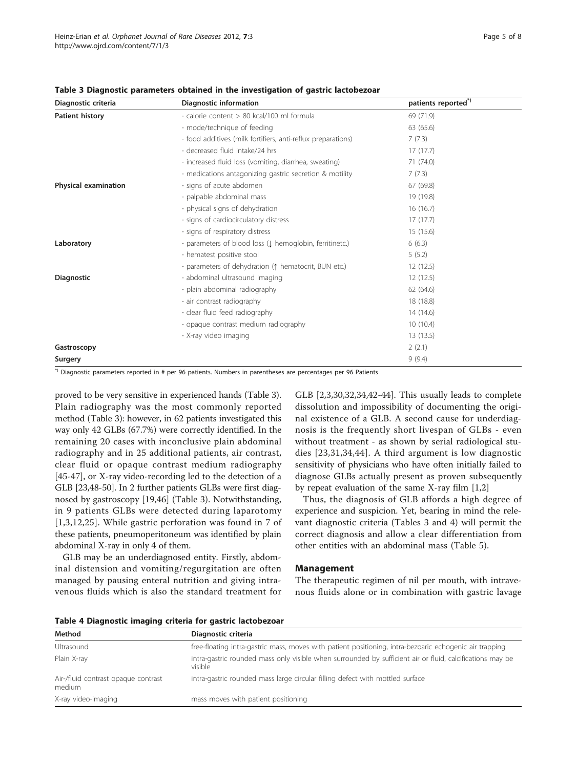| Diagnostic criteria         | Diagnostic information                                         | patients reported") |
|-----------------------------|----------------------------------------------------------------|---------------------|
| <b>Patient history</b>      | - calorie content > 80 kcal/100 ml formula                     | 69 (71.9)           |
|                             | - mode/technique of feeding                                    | 63 (65.6)           |
|                             | - food additives (milk fortifiers, anti-reflux preparations)   | 7(7.3)              |
|                             | - decreased fluid intake/24 hrs                                | 17(17.7)            |
|                             | - increased fluid loss (vomiting, diarrhea, sweating)          | 71 (74.0)           |
|                             | - medications antagonizing gastric secretion & motility        | 7(7.3)              |
| <b>Physical examination</b> | - signs of acute abdomen                                       | 67 (69.8)           |
|                             | - palpable abdominal mass                                      | 19 (19.8)           |
|                             | - physical signs of dehydration                                | 16(16.7)            |
|                             | - signs of cardiocirculatory distress                          | 17(17.7)            |
|                             | - signs of respiratory distress                                | 15(15.6)            |
| Laboratory                  | - parameters of blood loss (1 hemoglobin, ferritinetc.)        | 6(6.3)              |
|                             | - hematest positive stool                                      | 5(5.2)              |
|                             | - parameters of dehydration ( $\uparrow$ hematocrit, BUN etc.) | 12(12.5)            |
| <b>Diagnostic</b>           | - abdominal ultrasound imaging                                 | 12(12.5)            |
|                             | - plain abdominal radiography                                  | 62 (64.6)           |
|                             | - air contrast radiography                                     | 18 (18.8)           |
|                             | - clear fluid feed radiography                                 | 14 (14.6)           |
|                             | - opaque contrast medium radiography                           | 10(10.4)            |
|                             | - X-ray video imaging                                          | 13(13.5)            |
| Gastroscopy                 |                                                                | 2(2.1)              |
| Surgery                     |                                                                | 9(9.4)              |

<span id="page-4-0"></span>Table 3 Diagnostic parameters obtained in the investigation of gastric lactobezoar

\*) Diagnostic parameters reported in # per 96 patients. Numbers in parentheses are percentages per 96 Patients

proved to be very sensitive in experienced hands (Table 3). Plain radiography was the most commonly reported method (Table 3): however, in 62 patients investigated this way only 42 GLBs (67.7%) were correctly identified. In the remaining 20 cases with inconclusive plain abdominal radiography and in 25 additional patients, air contrast, clear fluid or opaque contrast medium radiography [[45-47\]](#page-6-0), or X-ray video-recording led to the detection of a GLB [[23](#page-6-0)[,48-50\]](#page-7-0). In 2 further patients GLBs were first diagnosed by gastroscopy [[19,46\]](#page-6-0) (Table 3). Notwithstanding, in 9 patients GLBs were detected during laparotomy [[1,3,12,25\]](#page-6-0). While gastric perforation was found in 7 of these patients, pneumoperitoneum was identified by plain abdominal X-ray in only 4 of them.

GLB may be an underdiagnosed entity. Firstly, abdominal distension and vomiting/regurgitation are often managed by pausing enteral nutrition and giving intravenous fluids which is also the standard treatment for

GLB [[2,3,30,32,34,42](#page-6-0)-[44](#page-6-0)]. This usually leads to complete dissolution and impossibility of documenting the original existence of a GLB. A second cause for underdiagnosis is the frequently short livespan of GLBs - even without treatment - as shown by serial radiological studies [[23,31](#page-6-0),[34](#page-6-0),[44\]](#page-6-0). A third argument is low diagnostic sensitivity of physicians who have often initially failed to diagnose GLBs actually present as proven subsequently by repeat evaluation of the same X-ray film [\[1,2](#page-6-0)]

Thus, the diagnosis of GLB affords a high degree of experience and suspicion. Yet, bearing in mind the relevant diagnostic criteria (Tables 3 and 4) will permit the correct diagnosis and allow a clear differentiation from other entities with an abdominal mass (Table [5\)](#page-5-0).

### Management

The therapeutic regimen of nil per mouth, with intravenous fluids alone or in combination with gastric lavage

| Table 4 Diagnostic imaging criteria for gastric lactobezoar |  |  |  |
|-------------------------------------------------------------|--|--|--|
|                                                             |  |  |  |

| Method                                        | Diagnostic criteria                                                                                                  |
|-----------------------------------------------|----------------------------------------------------------------------------------------------------------------------|
| Ultrasound                                    | free-floating intra-gastric mass, moves with patient positioning, intra-bezoaric echogenic air trapping              |
| Plain X-ray                                   | intra-gastric rounded mass only visible when surrounded by sufficient air or fluid, calcifications may be<br>visible |
| Air-/fluid contrast opaque contrast<br>medium | intra-gastric rounded mass large circular filling defect with mottled surface                                        |
| X-ray video-imaging                           | mass moves with patient positioning                                                                                  |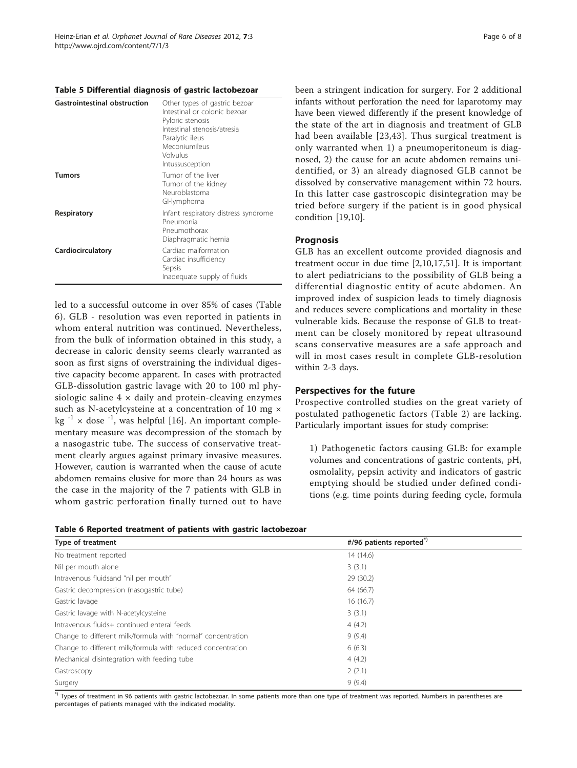#### <span id="page-5-0"></span>Table 5 Differential diagnosis of gastric lactobezoar

| <b>Gastrointestinal obstruction</b> | Other types of gastric bezoar<br>Intestinal or colonic bezoar<br>Pyloric stenosis<br>Intestinal stenosis/atresia<br>Paralytic ileus<br>Meconiumileus<br>Volvulus<br>Intussusception |
|-------------------------------------|-------------------------------------------------------------------------------------------------------------------------------------------------------------------------------------|
| Tumors                              | Tumor of the liver<br>Tumor of the kidney<br>Neuroblastoma<br>GI-lymphoma                                                                                                           |
| Respiratory                         | Infant respiratory distress syndrome<br>Pneumonia<br>Pneumothorax<br>Diaphragmatic hernia                                                                                           |
| Cardiocirculatory                   | Cardiac malformation<br>Cardiac insufficiency<br>Sepsis<br>Inadequate supply of fluids                                                                                              |

led to a successful outcome in over 85% of cases (Table 6). GLB - resolution was even reported in patients in whom enteral nutrition was continued. Nevertheless, from the bulk of information obtained in this study, a decrease in caloric density seems clearly warranted as soon as first signs of overstraining the individual digestive capacity become apparent. In cases with protracted GLB-dissolution gastric lavage with 20 to 100 ml physiologic saline  $4 \times$  daily and protein-cleaving enzymes such as N-acetylcysteine at a concentration of 10 mg  $\times$ kg  $^{-1}$  × dose  $^{-1}$ , was helpful [\[16](#page-6-0)]. An important complementary measure was decompression of the stomach by a nasogastric tube. The success of conservative treatment clearly argues against primary invasive measures. However, caution is warranted when the cause of acute abdomen remains elusive for more than 24 hours as was the case in the majority of the 7 patients with GLB in whom gastric perforation finally turned out to have



been a stringent indication for surgery. For 2 additional infants without perforation the need for laparotomy may have been viewed differently if the present knowledge of the state of the art in diagnosis and treatment of GLB had been available [[23,43\]](#page-6-0). Thus surgical treatment is only warranted when 1) a pneumoperitoneum is diagnosed, 2) the cause for an acute abdomen remains unidentified, or 3) an already diagnosed GLB cannot be dissolved by conservative management within 72 hours. In this latter case gastroscopic disintegration may be tried before surgery if the patient is in good physical condition [[19,10\]](#page-6-0).

# Prognosis

GLB has an excellent outcome provided diagnosis and treatment occur in due time [[2,10,17,](#page-6-0)[51\]](#page-7-0). It is important to alert pediatricians to the possibility of GLB being a differential diagnostic entity of acute abdomen. An improved index of suspicion leads to timely diagnosis and reduces severe complications and mortality in these vulnerable kids. Because the response of GLB to treatment can be closely monitored by repeat ultrasound scans conservative measures are a safe approach and will in most cases result in complete GLB-resolution within 2-3 days.

# Perspectives for the future

Prospective controlled studies on the great variety of postulated pathogenetic factors (Table [2\)](#page-2-0) are lacking. Particularly important issues for study comprise:

1) Pathogenetic factors causing GLB: for example volumes and concentrations of gastric contents, pH, osmolality, pepsin activity and indicators of gastric emptying should be studied under defined conditions (e.g. time points during feeding cycle, formula

| Type of treatment                                            | #/96 patients reported" |
|--------------------------------------------------------------|-------------------------|
| No treatment reported                                        | 14 (14.6)               |
| Nil per mouth alone                                          | 3(3.1)                  |
| Intravenous fluidsand "nil per mouth"                        | 29 (30.2)               |
| Gastric decompression (nasogastric tube)                     | 64 (66.7)               |
| Gastric lavage                                               | 16(16.7)                |
| Gastric lavage with N-acetylcysteine                         | 3(3.1)                  |
| Intravenous fluids+ continued enteral feeds                  | 4(4.2)                  |
| Change to different milk/formula with "normal" concentration | 9(9.4)                  |
| Change to different milk/formula with reduced concentration  | 6(6.3)                  |
| Mechanical disintegration with feeding tube                  | 4(4.2)                  |
| Gastroscopy                                                  | 2(2.1)                  |
| Surgery                                                      | 9(9.4)                  |

\*) Types of treatment in 96 patients with gastric lactobezoar. In some patients more than one type of treatment was reported. Numbers in parentheses are percentages of patients managed with the indicated modality.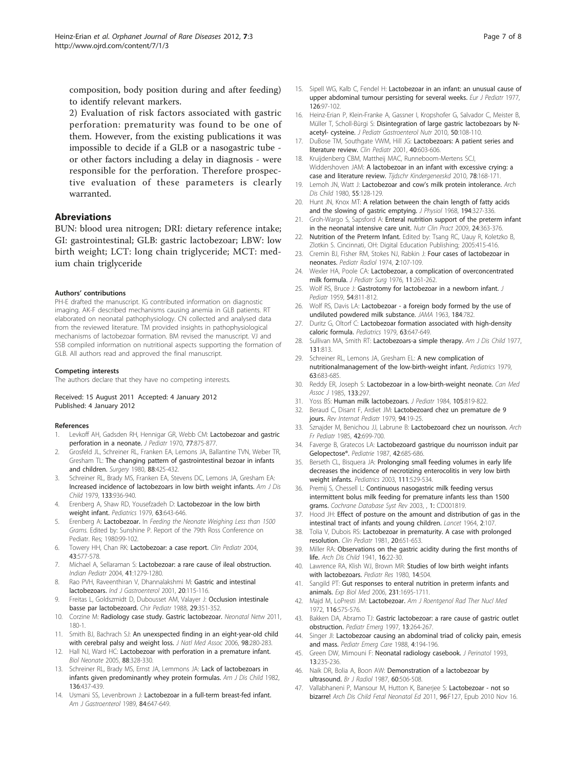<span id="page-6-0"></span>composition, body position during and after feeding) to identify relevant markers.

2) Evaluation of risk factors associated with gastric perforation: prematurity was found to be one of them. However, from the existing publications it was impossible to decide if a GLB or a nasogastric tube or other factors including a delay in diagnosis - were responsible for the perforation. Therefore prospective evaluation of these parameters is clearly warranted.

# Abreviations

BUN: blood urea nitrogen; DRI: dietary reference intake; GI: gastrointestinal; GLB: gastric lactobezoar; LBW: low birth weight; LCT: long chain triglyceride; MCT: medium chain triglyceride

#### Authors' contributions

PH-E drafted the manuscript. IG contributed information on diagnostic imaging. AK-F described mechanisms causing anemia in GLB patients. RT elaborated on neonatal pathophysiology. CN collected and analysed data from the reviewed literature. TM provided insights in pathophysiological mechanisms of lactobezoar formation. BM revised the manuscript. VJ and SSB compiled information on nutritional aspects supporting the formation of GLB. All authors read and approved the final manuscript.

#### Competing interests

The authors declare that they have no competing interests.

Received: 15 August 2011 Accepted: 4 January 2012 Published: 4 January 2012

#### References

- 1. Levkoff AH, Gadsden RH, Hennigar GR, Webb CM: [Lactobezoar and gastric](http://www.ncbi.nlm.nih.gov/pubmed/5537311?dopt=Abstract) [perforation in a neonate.](http://www.ncbi.nlm.nih.gov/pubmed/5537311?dopt=Abstract) J Pediatr 1970, 77:875-877.
- 2. Grosfeld JL, Schreiner RL, Franken EA, Lemons JA, Ballantine TVN, Weber TR, Gresham TL: [The changing pattern of gastrointestinal bezoar in infants](http://www.ncbi.nlm.nih.gov/pubmed/6893369?dopt=Abstract) [and children.](http://www.ncbi.nlm.nih.gov/pubmed/6893369?dopt=Abstract) Surgery 1980, 88:425-432.
- Schreiner RL, Brady MS, Franken EA, Stevens DC, Lemons JA, Gresham EA: [Increased incidence of lactobezoars in low birth weight infants.](http://www.ncbi.nlm.nih.gov/pubmed/474545?dopt=Abstract) Am J Dis Child 1979, 133:936-940.
- 4. Erenberg A, Shaw RD, Yousefzadeh D: Lactobezoar in the low birth weight infant. Pediatrics 1979, 63:643-646.
- Erenberg A: Lactobezoar. In Feeding the Neonate Weighing Less than 1500 Grams. Edited by: Sunshine P. Report of the 79th Ross Conference on Pediatr. Res; 1980:99-102.
- Towery HH, Chan RK: Lactobezoar: a case report. Clin Pediatr 2004, 43:577-578.
- 7. Michael A, Sellaraman S: [Lactobezoar: a rare cause of ileal obstruction.](http://www.ncbi.nlm.nih.gov/pubmed/15623919?dopt=Abstract) Indian Pediatr 2004, 41:1279-1280.
- 8. Rao PVH, Raveenthiran V, Dhannalakshmi M: Gastric and intestinal lactobezoars. Ind J Gastroenterol 2001, 20:115-116.
- Freitas L, Goldszmidt D, Dubousset AM, Valayer J: [Occlusion intestinale](http://www.ncbi.nlm.nih.gov/pubmed/3228944?dopt=Abstract) [basse par lactobezoard.](http://www.ncbi.nlm.nih.gov/pubmed/3228944?dopt=Abstract) Chir Pediatr 1988, 29:351-352.
- 10. Corzine M: Radiology case study. Gastric lactobezoar. Neonatal Netw 2011, 180-1.
- 11. Smith BJ, Bachrach SJ: [An unexspected finding in an eight-year-old child](http://www.ncbi.nlm.nih.gov/pubmed/16708517?dopt=Abstract) [with cerebral palsy and weight loss.](http://www.ncbi.nlm.nih.gov/pubmed/16708517?dopt=Abstract) J Natl Med Assoc 2006, 98:280-283.
- 12. Hall NJ, Ward HC: [Lactobezoar with perforation in a premature infant.](http://www.ncbi.nlm.nih.gov/pubmed/16113528?dopt=Abstract) Biol Neonate 2005, 88:328-330.
- 13. Schreiner RL, Brady MS, Ernst JA, Lemmons JA: [Lack of lactobezoars in](http://www.ncbi.nlm.nih.gov/pubmed/6979240?dopt=Abstract) [infants given predominantly whey protein formulas.](http://www.ncbi.nlm.nih.gov/pubmed/6979240?dopt=Abstract) Am J Dis Child 1982, 136:437-439.
- 14. Usmani SS, Levenbrown J: [Lactobezoar in a full-term breast-fed infant.](http://www.ncbi.nlm.nih.gov/pubmed/2729236?dopt=Abstract) Am J Gastroenterol 1989, 84:647-649.
- 15. Sipell WG, Kalb C, Fendel H: [Lactobezoar in an infant: an unusual cause of](http://www.ncbi.nlm.nih.gov/pubmed/578498?dopt=Abstract) [upper abdominal tumour persisting for several weeks.](http://www.ncbi.nlm.nih.gov/pubmed/578498?dopt=Abstract) Eur J Pediatr 1977, 126:97-102.
- 16. Heinz-Erian P, Klein-Franke A, Gassner I, Kropshofer G, Salvador C, Meister B, Müller T, Scholl-Bürgi S: Disintegration [of large gastric lactobezoars by N](http://www.ncbi.nlm.nih.gov/pubmed/19949349?dopt=Abstract)[acetyl- cysteine.](http://www.ncbi.nlm.nih.gov/pubmed/19949349?dopt=Abstract) J Pediatr Gastroenterol Nutr 2010, 50:108-110.
- 17. DuBose TM, Southgate VWM, Hill JG: Lactobezoars: A patient series and literature review. Clin Pediatr 2001, 40:603-606.
- 18. Kruijdenberg CBM, Mattheij MAC, Runneboom-Mertens SCJ, Widdershoven JAM: A lactobezoar in an infant with excessive crying: a case and literature review. Tijdschr Kindergeneeskd 2010, 78:168-171.
- 19. Lemoh JN, Watt J: Lactobezoar and cow'[s milk protein intolerance.](http://www.ncbi.nlm.nih.gov/pubmed/7189657?dopt=Abstract) Arch Dis Child 1980, 55:128-129.
- 20. Hunt JN, Knox MT: [A relation between the chain length of fatty acids](http://www.ncbi.nlm.nih.gov/pubmed/5639357?dopt=Abstract) [and the slowing of gastric emptying.](http://www.ncbi.nlm.nih.gov/pubmed/5639357?dopt=Abstract) J Physiol 1968, 194:327-336.
- 21. Groh-Wargo S, Sapsford A: [Enteral nutrition support of the preterm infant](http://www.ncbi.nlm.nih.gov/pubmed/19483066?dopt=Abstract) [in the neonatal intensive care unit.](http://www.ncbi.nlm.nih.gov/pubmed/19483066?dopt=Abstract) Nutr Clin Pract 2009, 24:363-376.
- 22. Nutrition of the Preterm Infant. Edited by: Tsang RC, Uauy R, Koletzko B, Zlotkin S. Cincinnati, OH: Digital Education Publishing; 2005:415-416.
- 23. Cremin BJ, Fisher RM, Stokes NJ, Rabkin J: [Four cases of lactobezoar in](http://www.ncbi.nlm.nih.gov/pubmed/15822332?dopt=Abstract) [neonates.](http://www.ncbi.nlm.nih.gov/pubmed/15822332?dopt=Abstract) Pediatr Radiol 1974, 2:107-109.
- 24. Wexler HA, Poole CA: [Lactobezoar, a complication of overconcentrated](http://www.ncbi.nlm.nih.gov/pubmed/946607?dopt=Abstract) [milk formula.](http://www.ncbi.nlm.nih.gov/pubmed/946607?dopt=Abstract) J Pediatr Surg 1976, 11:261-262.
- 25. Wolf RS, Bruce J: [Gastrotomy for lactobezoar in a newborn infant.](http://www.ncbi.nlm.nih.gov/pubmed/13655177?dopt=Abstract) J Pediatr 1959, 54:811-812.
- 26. Wolf RS, Davis LA: [Lactobezoar a foreign body formed by the use of](http://www.ncbi.nlm.nih.gov/pubmed/14026424?dopt=Abstract) [undiluted powdered milk substance.](http://www.ncbi.nlm.nih.gov/pubmed/14026424?dopt=Abstract) JAMA 1963, 184:782.
- 27. Duritz G, Oltorf C: [Lactobezoar formation associated with high-density](http://www.ncbi.nlm.nih.gov/pubmed/440877?dopt=Abstract) [caloric formula.](http://www.ncbi.nlm.nih.gov/pubmed/440877?dopt=Abstract) Pediatrics 1979, 63:647-649.
- 28. Sullivan MA, Smith RT: [Lactobezoars-a simple therapy.](http://www.ncbi.nlm.nih.gov/pubmed/577659?dopt=Abstract) Am J Dis Child 1977, 131:813.
- 29. Schreiner RL, Lemons JA, Gresham EL: [A new complication of](http://www.ncbi.nlm.nih.gov/pubmed/440888?dopt=Abstract) [nutritionalmanagement of the low-birth-weight infant.](http://www.ncbi.nlm.nih.gov/pubmed/440888?dopt=Abstract) Pediatrics 1979, 63:683-685.
- 30. Reddy ER, Joseph S: [Lactobezoar in a low-birth-weight neonate.](http://www.ncbi.nlm.nih.gov/pubmed/4016639?dopt=Abstract) Can Med Assoc J 1985, 133:297.
- 31. Yoss BS: [Human milk lactobezoars.](http://www.ncbi.nlm.nih.gov/pubmed/6502316?dopt=Abstract) J Pediatr 1984, 105:819-822.
- 32. Beraud C, Disant F, Ardiet JM: Lactobezoard chez un premature de 9 jours. Rev Internat Pediatr 1979, 94:19-25.
- 33. Sznajder M, Benichou JJ, Labrune B: [Lactobezoard chez un nourisson.](http://www.ncbi.nlm.nih.gov/pubmed/3840976?dopt=Abstract) Arch Fr Pediatr 1985, 42:699-700.
- 34. Faverge B, Gratecos LA: [Lactobezoard gastrique du nourrisson induit par](http://www.ncbi.nlm.nih.gov/pubmed/2836788?dopt=Abstract) [Gelopectose®.](http://www.ncbi.nlm.nih.gov/pubmed/2836788?dopt=Abstract) Pediatrie 1987, 42:685-686.
- 35. Berseth CL, Bisquera JA: [Prolonging small feeding volumes in early life](http://www.ncbi.nlm.nih.gov/pubmed/12612232?dopt=Abstract) [decreases the incidence of necrotizing enterocolitis in very low birth](http://www.ncbi.nlm.nih.gov/pubmed/12612232?dopt=Abstract) [weight infants.](http://www.ncbi.nlm.nih.gov/pubmed/12612232?dopt=Abstract) Pediatrics 2003, 111:529-534.
- 36. Premij S, Chessell L: Continuous nasogastric milk feeding versus intermittent bolus milk feeding for premature infants less than 1500 grams. Cochrane Database Syst Rev 2003, , 1: CD001819.
- 37. Hood JH: [Effect of posture on the amount and distribution of gas in the](http://www.ncbi.nlm.nih.gov/pubmed/14160539?dopt=Abstract) [intestinal tract of infants and young children.](http://www.ncbi.nlm.nih.gov/pubmed/14160539?dopt=Abstract) Lancet 1964, 2:107.
- 38. Tolia V, Dubois RS: Lactobezoar in prematurity. A case with prolonged resolution. Clin Pediatr 1981, 20:651-653.
- 39. Miller RA: [Observations on the gastric acidity during the first months of](http://www.ncbi.nlm.nih.gov/pubmed/21032189?dopt=Abstract) [life.](http://www.ncbi.nlm.nih.gov/pubmed/21032189?dopt=Abstract) Arch Dis Child 1941, 16:22-30.
- 40. Lawrence RA, Klish WJ, Brown MR: Studies of low birth weight infants with lactobezoars. Pediatr Res 1980, 14:504.
- 41. Sangild PT: Gut responses to enteral nutrition in preterm infants and animals. Exp Biol Med 2006, 231:1695-1711.
- 42. Majd M, LoPresti JM: Lactobezoar. Am J Roentgenol Rad Ther Nucl Med 1972, 116:575-576.
- 43. Bakken DA, Abramo TJ: Gastric lactobezoar: a rare cause of gastric outlet obstruction. Pediatr Emerg 1997, 13:264-267.
- 44. Singer JI: [Lactobezoar causing an abdominal triad of colicky pain, emesis](http://www.ncbi.nlm.nih.gov/pubmed/3186525?dopt=Abstract) [and mass.](http://www.ncbi.nlm.nih.gov/pubmed/3186525?dopt=Abstract) Pediatr Emerg Care 1988, 4:194-196.
- 45. Green DW, Mimouni F: [Neonatal radiology casebook.](http://www.ncbi.nlm.nih.gov/pubmed/8345390?dopt=Abstract) J Perinatol 1993, 13:235-236.
- 46. Naik DR, Bolia A, Boon AW: [Demonstration of a lactobezoar by](http://www.ncbi.nlm.nih.gov/pubmed/3555684?dopt=Abstract) [ultrasound.](http://www.ncbi.nlm.nih.gov/pubmed/3555684?dopt=Abstract) Br J Radiol 1987, 60:506-508.
- 47. Vallabhaneni P, Mansour M, Hutton K, Banerjee S: [Lactobezoar not so](http://www.ncbi.nlm.nih.gov/pubmed/21081592?dopt=Abstract) [bizarre!](http://www.ncbi.nlm.nih.gov/pubmed/21081592?dopt=Abstract) Arch Dis Child Fetal Neonatal Ed 2011, 96:F127, Epub 2010 Nov 16.